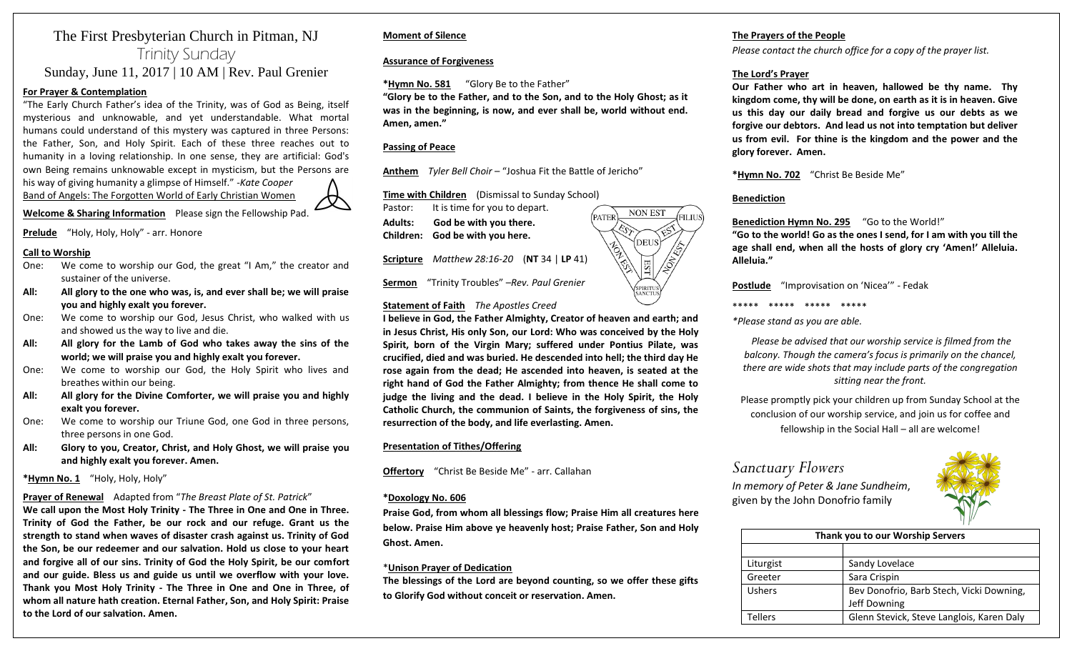### The First Presbyterian Church in Pitman, NJ Trinity Sunday Sunday, June 11, 2017 | 10 AM | Rev. Paul Grenier

#### **For Prayer & Contemplation**

"The Early Church Father's idea of the Trinity, was of God as Being, itself mysterious and unknowable, and yet understandable. What mortal humans could understand of this mystery was captured in three Persons: the Father, Son, and Holy Spirit. Each of these three reaches out to humanity in a loving relationship. In one sense, they are artificial: God's own Being remains unknowable except in mysticism, but the Persons are his way of giving humanity a glimpse of Himself." -*Kate Cooper*

Band of Angels: The Forgotten World of Early Christian Women

**Welcome & Sharing Information** Please sign the Fellowship Pad.

**Prelude** "Holy, Holy, Holy" - arr. Honore

#### **Call to Worship**

- One: We come to worship our God, the great "I Am," the creator and sustainer of the universe.
- **All: All glory to the one who was, is, and ever shall be; we will praise you and highly exalt you forever.**
- One: We come to worship our God, Jesus Christ, who walked with us and showed us the way to live and die.
- **All: All glory for the Lamb of God who takes away the sins of the world; we will praise you and highly exalt you forever.**
- One: We come to worship our God, the Holy Spirit who lives and breathes within our being.
- **All: All glory for the Divine Comforter, we will praise you and highly exalt you forever.**
- One: We come to worship our Triune God, one God in three persons, three persons in one God.
- **All: Glory to you, Creator, Christ, and Holy Ghost, we will praise you and highly exalt you forever. Amen.**

**\*Hymn No. 1** "Holy, Holy, Holy"

#### **Prayer of Renewal** Adapted from "*The Breast Plate of St. Patrick*"

**We call upon the Most Holy Trinity - The Three in One and One in Three. Trinity of God the Father, be our rock and our refuge. Grant us the strength to stand when waves of disaster crash against us. Trinity of God the Son, be our redeemer and our salvation. Hold us close to your heart and forgive all of our sins. Trinity of God the Holy Spirit, be our comfort and our guide. Bless us and guide us until we overflow with your love. Thank you Most Holy Trinity - The Three in One and One in Three, of whom all nature hath creation. Eternal Father, Son, and Holy Spirit: Praise to the Lord of our salvation. Amen.**

#### **Moment of Silence**

**Assurance of Forgiveness**

#### **\*Hymn No. 581** "Glory Be to the Father"

**"Glory be to the Father, and to the Son, and to the Holy Ghost; as it was in the beginning, is now, and ever shall be, world without end. Amen, amen."**

#### **Passing of Peace**

**Anthem** *Tyler Bell Choir* – "Joshua Fit the Battle of Jericho"

**Time with Children** (Dismissal to Sunday School)

| Pastor: | It is time for you to depart.   |
|---------|---------------------------------|
| Adults: | God be with you there.          |
|         | Children: God be with you here. |

**Scripture** *Matthew 28:16-20* (**NT** 34 | **LP** 41)

**Sermon** "Trinity Troubles" –*Rev. Paul Grenier*

#### **Statement of Faith** *The Apostles Creed*

**I believe in God, the Father Almighty, Creator of heaven and earth; and in Jesus Christ, His only Son, our Lord: Who was conceived by the Holy Spirit, born of the Virgin Mary; suffered under Pontius Pilate, was crucified, died and was buried. He descended into hell; the third day He rose again from the dead; He ascended into heaven, is seated at the right hand of God the Father Almighty; from thence He shall come to judge the living and the dead. I believe in the Holy Spirit, the Holy Catholic Church, the communion of Saints, the forgiveness of sins, the resurrection of the body, and life everlasting. Amen.**

#### **Presentation of Tithes/Offering**

**Offertory** "Christ Be Beside Me" - arr. Callahan

#### **\*Doxology No. 606**

**Praise God, from whom all blessings flow; Praise Him all creatures here below. Praise Him above ye heavenly host; Praise Father, Son and Holy Ghost. Amen.**

#### \***Unison Prayer of Dedication**

**The blessings of the Lord are beyond counting, so we offer these gifts to Glorify God without conceit or reservation. Amen.**

#### **The Prayers of the People**

*Please contact the church office for a copy of the prayer list.*

#### **The Lord's Prayer**

**Our Father who art in heaven, hallowed be thy name. Thy kingdom come, thy will be done, on earth as it is in heaven. Give us this day our daily bread and forgive us our debts as we forgive our debtors. And lead us not into temptation but deliver us from evil. For thine is the kingdom and the power and the glory forever. Amen.** 

**\*Hymn No. 702** "Christ Be Beside Me"

#### **Benediction**

#### **Benediction Hymn No. 295** "Go to the World!"

**"Go to the world! Go as the ones I send, for I am with you till the age shall end, when all the hosts of glory cry 'Amen!' Alleluia. Alleluia."**

**Postlude** "Improvisation on 'Nicea'" - Fedak

\*\*\*\*\* \*\*\*\*\* \*\*\*\*\* \*\*\*\*\*

*\*Please stand as you are able.*

*Please be advised that our worship service is filmed from the balcony. Though the camera's focus is primarily on the chancel, there are wide shots that may include parts of the congregation sitting near the front.*

Please promptly pick your children up from Sunday School at the conclusion of our worship service, and join us for coffee and fellowship in the Social Hall – all are welcome!

## *Sanctuary Flowers*

*In memory of Peter & Jane Sundheim*, given by the John Donofrio family



| Thank you to our Worship Servers |                                           |  |
|----------------------------------|-------------------------------------------|--|
|                                  |                                           |  |
| Liturgist                        | Sandy Lovelace                            |  |
| Greeter                          | Sara Crispin                              |  |
| Ushers                           | Bev Donofrio, Barb Stech, Vicki Downing,  |  |
|                                  | Jeff Downing                              |  |
| <b>Tellers</b>                   | Glenn Stevick, Steve Langlois, Karen Daly |  |
|                                  |                                           |  |